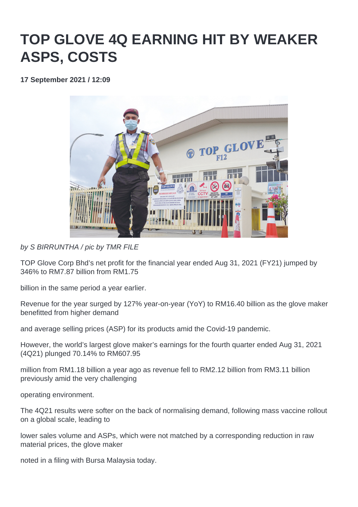## **TOP GLOVE 4Q EARNING HIT BY WEAKER ASPS, COSTS**

**17 September 2021 / 12:09** 



by S BIRRUNTHA / pic by TMR FILE

TOP Glove Corp Bhd's net profit for the financial year ended Aug 31, 2021 (FY21) jumped by 346% to RM7.87 billion from RM1.75

billion in the same period a year earlier.

Revenue for the year surged by 127% year-on-year (YoY) to RM16.40 billion as the glove maker benefitted from higher demand

and average selling prices (ASP) for its products amid the Covid-19 pandemic.

However, the world's largest glove maker's earnings for the fourth quarter ended Aug 31, 2021 (4Q21) plunged 70.14% to RM607.95

million from RM1.18 billion a year ago as revenue fell to RM2.12 billion from RM3.11 billion previously amid the very challenging

operating environment.

The 4Q21 results were softer on the back of normalising demand, following mass vaccine rollout on a global scale, leading to

lower sales volume and ASPs, which were not matched by a corresponding reduction in raw material prices, the glove maker

noted in a filing with Bursa Malaysia today.